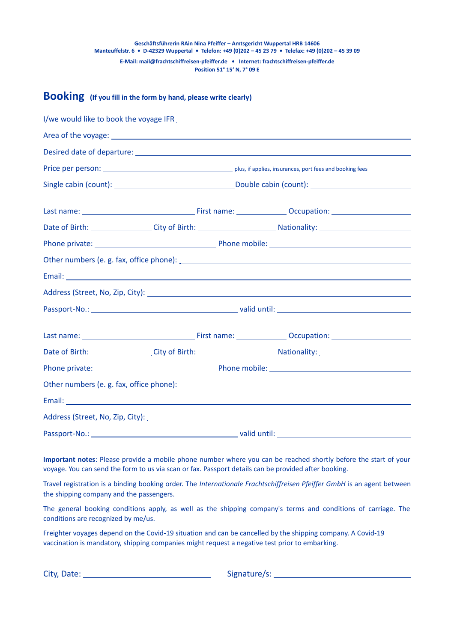# **Geschäftsführerin RAin Nina Pfeiffer – Amtsgericht Wuppertal HRB 14606 Manteuffelstr. 6 • D-42329 Wuppertal • Telefon: +49 (0)202 – 45 23 79 • Telefax: +49 (0)202 – 45 39 09 E-Mail: mail@frachtschiffreisen-pfeiffer.de • Internet: frachtschiffreisen-pfeiffer.de Position 51° 15' N, 7° 09 E**

# **Booking (If you fill in the form by hand, please write clearly)**

**Important notes**: Please provide a mobile phone number where you can be reached shortly before the start of your voyage. You can send the form to us via scan or fax. Passport details can be provided after booking.

Travel registration is a binding booking order. The *Internationale Frachtschiffreisen Pfeiffer GmbH* is an agent between the shipping company and the passengers.

The general booking conditions apply, as well as the shipping company's terms and conditions of carriage. The conditions are recognized by me/us.

Freighter voyages depend on the Covid-19 situation and can be cancelled by the shipping company. A Covid-19 vaccination is mandatory, shipping companies might request a negative test prior to embarking.

City, Date: Signature/s: